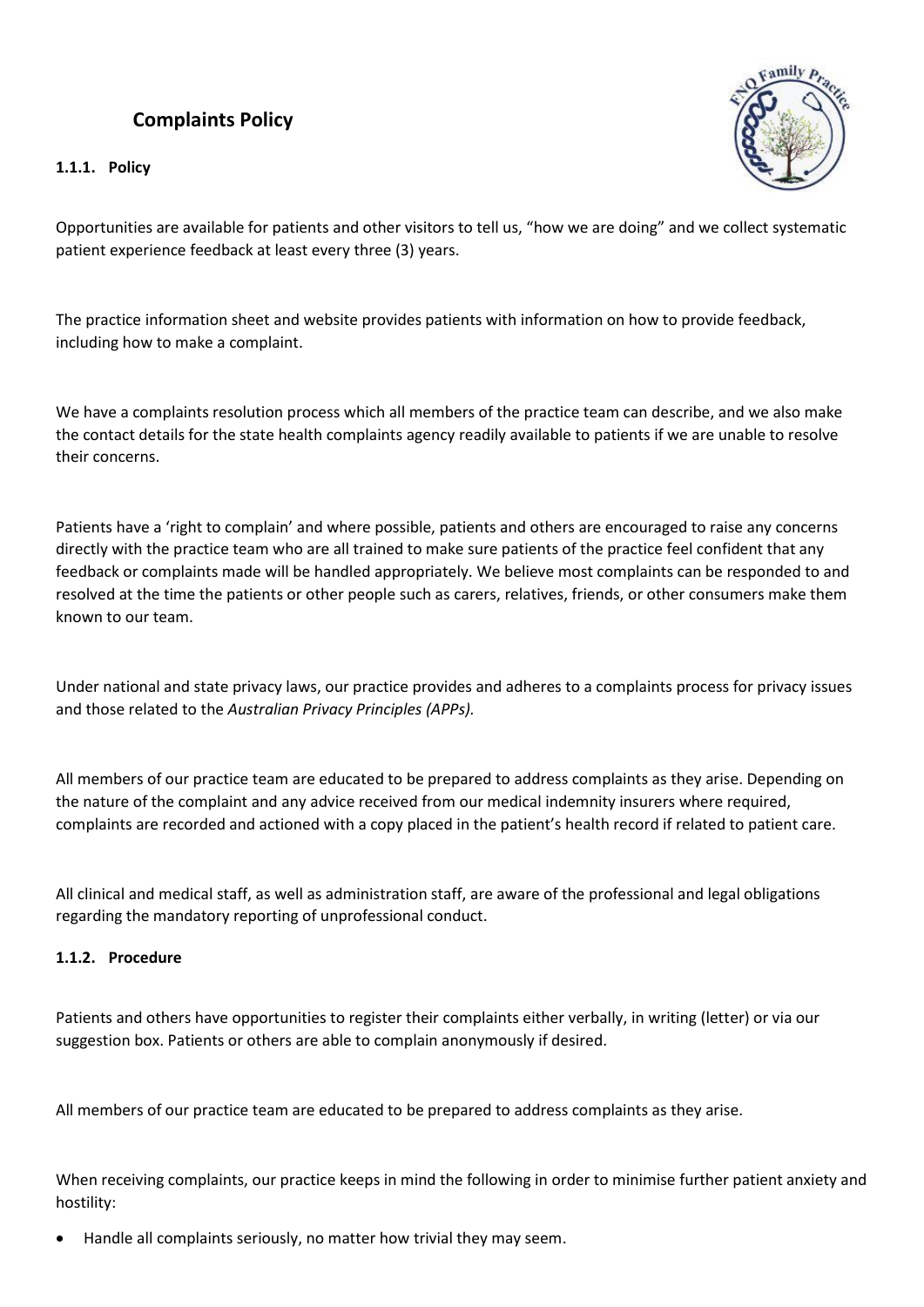## **Complaints Policy**

**1.1.1. Policy**



Opportunities are available for patients and other visitors to tell us, "how we are doing" and we collect systematic patient experience feedback at least every three (3) years.

The practice information sheet and website provides patients with information on how to provide feedback, including how to make a complaint.

We have a complaints resolution process which all members of the practice team can describe, and we also make the contact details for the state health complaints agency readily available to patients if we are unable to resolve their concerns.

Patients have a 'right to complain' and where possible, patients and others are encouraged to raise any concerns directly with the practice team who are all trained to make sure patients of the practice feel confident that any feedback or complaints made will be handled appropriately. We believe most complaints can be responded to and resolved at the time the patients or other people such as carers, relatives, friends, or other consumers make them known to our team.

Under national and state privacy laws, our practice provides and adheres to a complaints process for privacy issues and those related to the *Australian Privacy Principles (APPs).*

All members of our practice team are educated to be prepared to address complaints as they arise. Depending on the nature of the complaint and any advice received from our medical indemnity insurers where required, complaints are recorded and actioned with a copy placed in the patient's health record if related to patient care.

All clinical and medical staff, as well as administration staff, are aware of the professional and legal obligations regarding the mandatory reporting of unprofessional conduct.

## **1.1.2. Procedure**

Patients and others have opportunities to register their complaints either verbally, in writing (letter) or via our suggestion box. Patients or others are able to complain anonymously if desired.

All members of our practice team are educated to be prepared to address complaints as they arise.

When receiving complaints, our practice keeps in mind the following in order to minimise further patient anxiety and hostility:

• Handle all complaints seriously, no matter how trivial they may seem.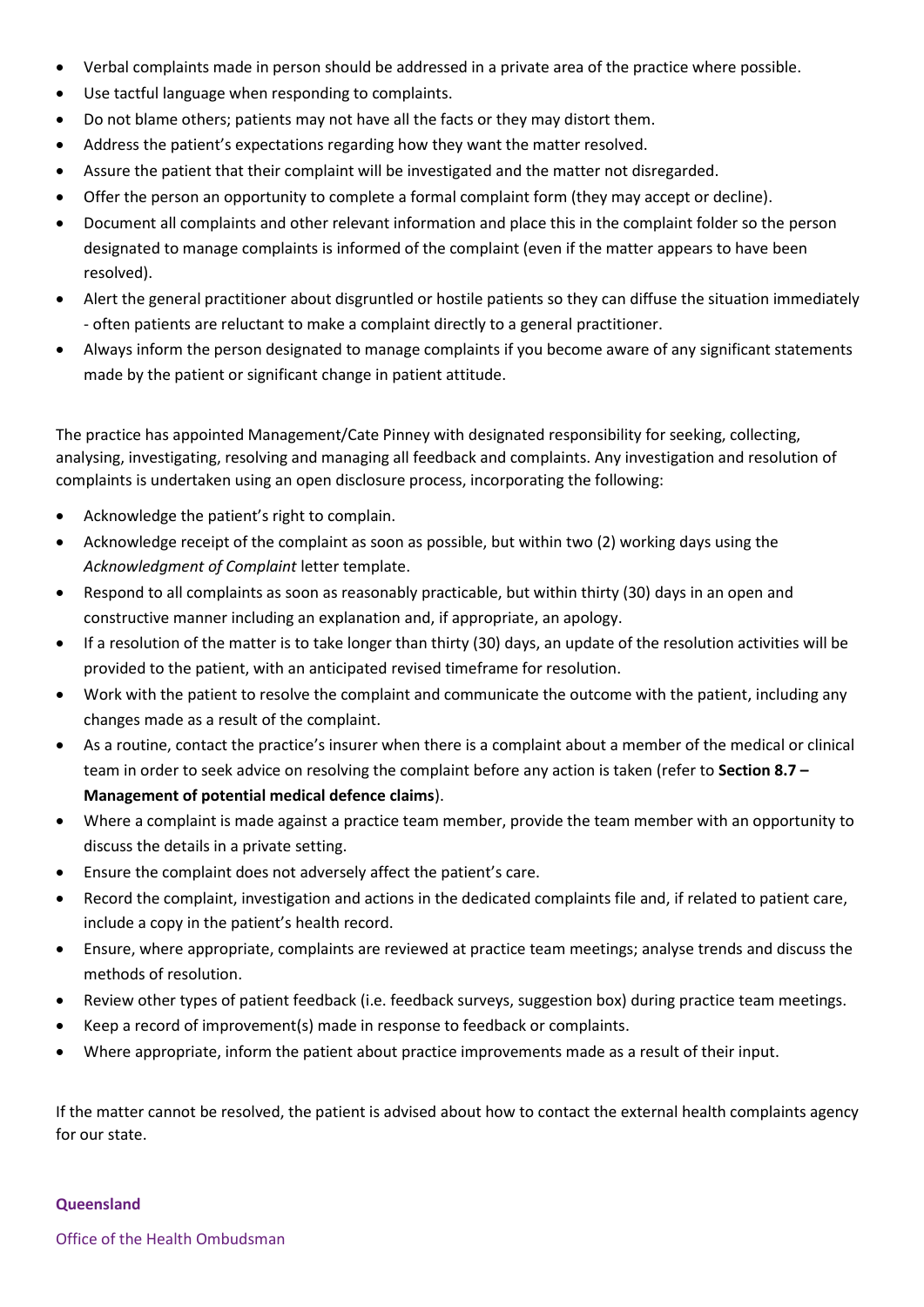- Verbal complaints made in person should be addressed in a private area of the practice where possible.
- Use tactful language when responding to complaints.
- Do not blame others; patients may not have all the facts or they may distort them.
- Address the patient's expectations regarding how they want the matter resolved.
- Assure the patient that their complaint will be investigated and the matter not disregarded.
- Offer the person an opportunity to complete a formal complaint form (they may accept or decline).
- Document all complaints and other relevant information and place this in the complaint folder so the person designated to manage complaints is informed of the complaint (even if the matter appears to have been resolved).
- Alert the general practitioner about disgruntled or hostile patients so they can diffuse the situation immediately - often patients are reluctant to make a complaint directly to a general practitioner.
- Always inform the person designated to manage complaints if you become aware of any significant statements made by the patient or significant change in patient attitude.

The practice has appointed Management/Cate Pinney with designated responsibility for seeking, collecting, analysing, investigating, resolving and managing all feedback and complaints. Any investigation and resolution of complaints is undertaken using an open disclosure process, incorporating the following:

- Acknowledge the patient's right to complain.
- Acknowledge receipt of the complaint as soon as possible, but within two (2) working days using the *Acknowledgment of Complaint* letter template.
- Respond to all complaints as soon as reasonably practicable, but within thirty (30) days in an open and constructive manner including an explanation and, if appropriate, an apology.
- If a resolution of the matter is to take longer than thirty (30) days, an update of the resolution activities will be provided to the patient, with an anticipated revised timeframe for resolution.
- Work with the patient to resolve the complaint and communicate the outcome with the patient, including any changes made as a result of the complaint.
- As a routine, contact the practice's insurer when there is a complaint about a member of the medical or clinical team in order to seek advice on resolving the complaint before any action is taken (refer to **Section 8.7 – Management of potential medical defence claims**).
- Where a complaint is made against a practice team member, provide the team member with an opportunity to discuss the details in a private setting.
- Ensure the complaint does not adversely affect the patient's care.
- Record the complaint, investigation and actions in the dedicated complaints file and, if related to patient care, include a copy in the patient's health record.
- Ensure, where appropriate, complaints are reviewed at practice team meetings; analyse trends and discuss the methods of resolution.
- Review other types of patient feedback (i.e. feedback surveys, suggestion box) during practice team meetings.
- Keep a record of improvement(s) made in response to feedback or complaints.
- Where appropriate, inform the patient about practice improvements made as a result of their input.

If the matter cannot be resolved, the patient is advised about how to contact the external health complaints agency for our state.

## **Queensland**

Office of the Health Ombudsman